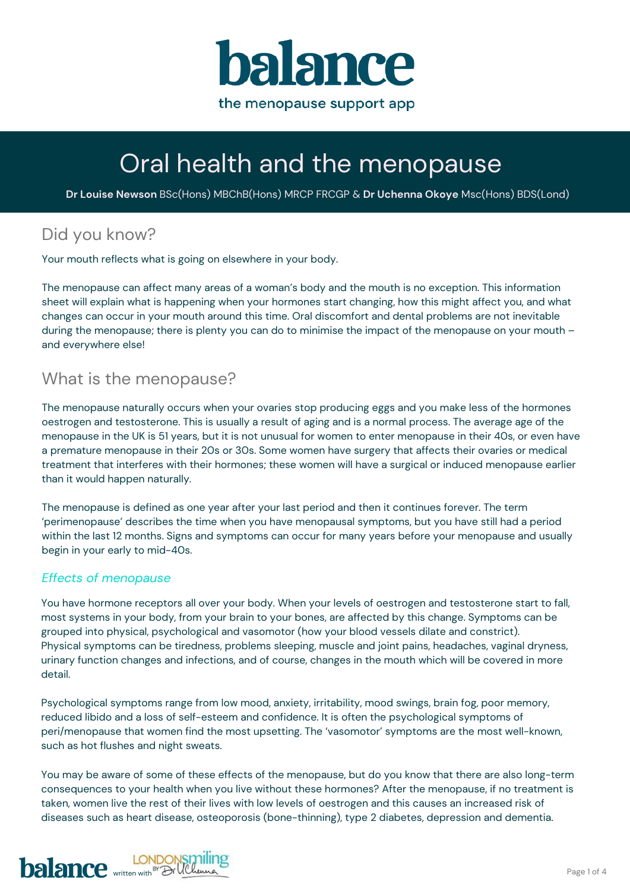

# Oral health and the menopause

**Dr Louise Newson** BSc(Hons) MBChB(Hons) MRCP FRCGP & **Dr Uchenna Okoye** Msc(Hons) BDS(Lond)

# Did you know?

Your mouth reflects what is going on elsewhere in your body.

The menopause can affect many areas of a woman's body and the mouth is no exception. This information sheet will explain what is happening when your hormones start changing, how this might affect you, and what changes can occur in your mouth around this time. Oral discomfort and dental problems are not inevitable during the menopause; there is plenty you can do to minimise the impact of the menopause on your mouth – and everywhere else!

## What is the menopause?

The menopause naturally occurs when your ovaries stop producing eggs and you make less of the hormones oestrogen and testosterone. This is usually a result of aging and is a normal process. The average age of the menopause in the UK is 51 years, but it is not unusual for women to enter menopause in their 40s, or even have a premature menopause in their 20s or 30s. Some women have surgery that affects their ovaries or medical treatment that interferes with their hormones; these women will have a surgical or induced menopause earlier than it would happen naturally.

The menopause is defined as one year after your last period and then it continues forever. The term 'perimenopause' describes the time when you have menopausal symptoms, but you have still had a period within the last 12 months. Signs and symptoms can occur for many years before your menopause and usually begin in your early to mid-40s.

### *Effects of menopause*

You have hormone receptors all over your body. When your levels of oestrogen and testosterone start to fall, most systems in your body, from your brain to your bones, are affected by this change. Symptoms can be grouped into physical, psychological and vasomotor (how your blood vessels dilate and constrict). Physical symptoms can be tiredness, problems sleeping, muscle and joint pains, headaches, vaginal dryness, urinary function changes and infections, and of course, changes in the mouth which will be covered in more detail.

Psychological symptoms range from low mood, anxiety, irritability, mood swings, brain fog, poor memory, reduced libido and a loss of self-esteem and confidence. It is often the psychological symptoms of peri/menopause that women find the most upsetting. The 'vasomotor' symptoms are the most well-known, such as hot flushes and night sweats.

You may be aware of some of these effects of the menopause, but do you know that there are also long-term consequences to your health when you live without these hormones? After the menopause, if no treatment is taken, women live the rest of their lives with low levels of oestrogen and this causes an increased risk of diseases such as heart disease, osteoporosis (bone-thinning), type 2 diabetes, depression and dementia.

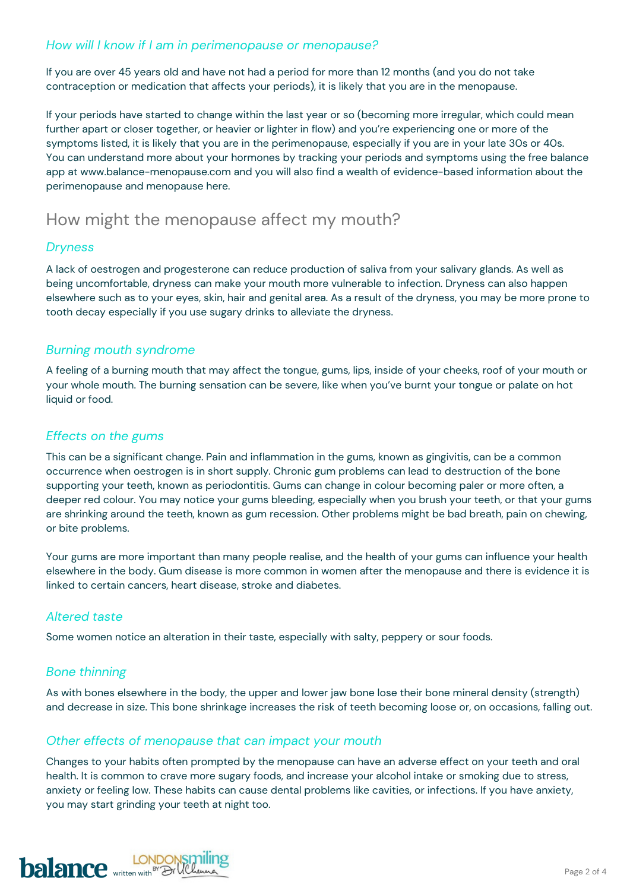### *How will I know if I am in perimenopause or menopause?*

If you are over 45 years old and have not had a period for more than 12 months (and you do not take contraception or medication that affects your periods), it is likely that you are in the menopause.

If your periods have started to change within the last year or so (becoming more irregular, which could mean further apart or closer together, or heavier or lighter in flow) and you're experiencing one or more of the symptoms listed, it is likely that you are in the perimenopause, especially if you are in your late 30s or 40s. You can understand more about your hormones by tracking your periods and symptoms using the free balance app at [www.balance-menopause.com](http://www.balance-menopause.com/) and you will also find a wealth of evidence-based information about the perimenopause and menopause here.

## How might the menopause affect my mouth?

### *Dryness*

A lack of oestrogen and progesterone can reduce production of saliva from your salivary glands. As well as being uncomfortable, dryness can make your mouth more vulnerable to infection. Dryness can also happen elsewhere such as to your eyes, skin, hair and genital area. As a result of the dryness, you may be more prone to tooth decay especially if you use sugary drinks to alleviate the dryness.

### *Burning mouth syndrome*

A feeling of a burning mouth that may affect the tongue, gums, lips, inside of your cheeks, roof of your mouth or your whole mouth. The burning sensation can be severe, like when you've burnt your tongue or palate on hot liquid or food.

### *Effects on the gums*

This can be a significant change. Pain and inflammation in the gums, known as gingivitis, can be a common occurrence when oestrogen is in short supply. Chronic gum problems can lead to destruction of the bone supporting your teeth, known as periodontitis. Gums can change in colour becoming paler or more often, a deeper red colour. You may notice your gums bleeding, especially when you brush your teeth, or that your gums are shrinking around the teeth, known as gum recession. Other problems might be bad breath, pain on chewing, or bite problems.

Your gums are more important than many people realise, and the health of your gums can influence your health elsewhere in the body. Gum disease is more common in women after the menopause and there is evidence it is linked to certain cancers, heart disease, stroke and diabetes.

### *Altered taste*

Some women notice an alteration in their taste, especially with salty, peppery or sour foods.

### *Bone thinning*

As with bones elsewhere in the body, the upper and lower jaw bone lose their bone mineral density (strength) and decrease in size. This bone shrinkage increases the risk of teeth becoming loose or, on occasions, falling out.

### *Other effects of menopause that can impact your mouth*

Changes to your habits often prompted by the menopause can have an adverse effect on your teeth and oral health. It is common to crave more sugary foods, and increase your alcohol intake or smoking due to stress, anxiety or feeling low. These habits can cause dental problems like cavities, or infections. If you have anxiety, you may start grinding your teeth at night too.

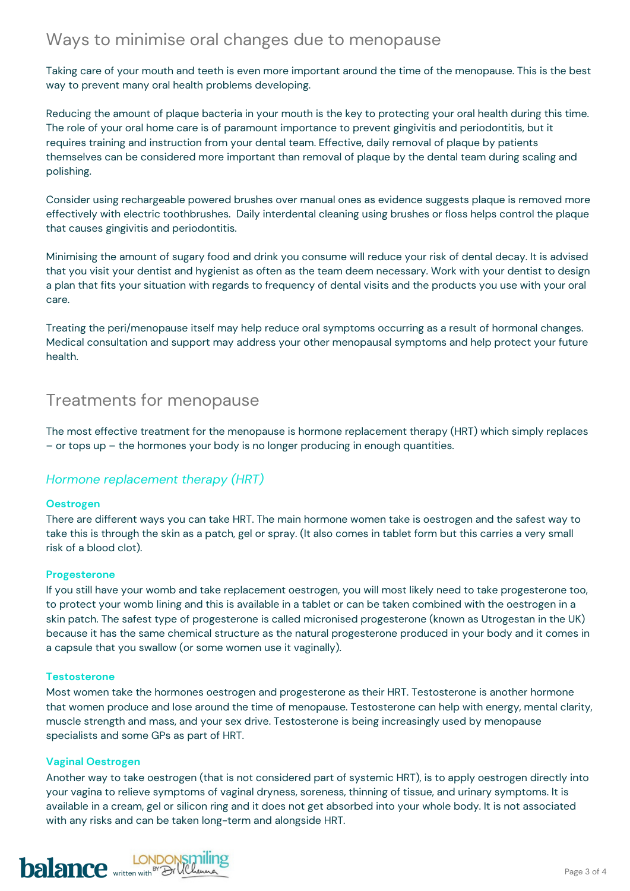# Ways to minimise oral changes due to menopause

Taking care of your mouth and teeth is even more important around the time of the menopause. This is the best way to prevent many oral health problems developing.

Reducing the amount of plaque bacteria in your mouth is the key to protecting your oral health during this time. The role of your oral home care is of paramount importance to prevent gingivitis and periodontitis, but it requires training and instruction from your dental team. Effective, daily removal of plaque by patients themselves can be considered more important than removal of plaque by the dental team during scaling and polishing.

Consider using rechargeable powered brushes over manual ones as evidence suggests plaque is removed more effectively with electric toothbrushes. Daily interdental cleaning using brushes or floss helps control the plaque that causes gingivitis and periodontitis.

Minimising the amount of sugary food and drink you consume will reduce your risk of dental decay. It is advised that you visit your dentist and hygienist as often as the team deem necessary. Work with your dentist to design a plan that fits your situation with regards to frequency of dental visits and the products you use with your oral care.

Treating the peri/menopause itself may help reduce oral symptoms occurring as a result of hormonal changes. Medical consultation and support may address your other menopausal symptoms and help protect your future health.

### Treatments for menopause

The most effective treatment for the menopause is hormone replacement therapy (HRT) which simply replaces – or tops up – the hormones your body is no longer producing in enough quantities.

### *Hormone replacement therapy (HRT)*

#### **Oestrogen**

There are different ways you can take HRT. The main hormone women take is oestrogen and the safest way to take this is through the skin as a patch, gel or spray. (It also comes in tablet form but this carries a very small risk of a blood clot).

#### **Progesterone**

If you still have your womb and take replacement oestrogen, you will most likely need to take progesterone too, to protect your womb lining and this is available in a tablet or can be taken combined with the oestrogen in a skin patch. The safest type of progesterone is called micronised progesterone (known as Utrogestan in the UK) because it has the same chemical structure as the natural progesterone produced in your body and it comes in a capsule that you swallow (or some women use it vaginally).

#### **Testosterone**

Most women take the hormones oestrogen and progesterone as their HRT. Testosterone is another hormone that women produce and lose around the time of menopause. Testosterone can help with energy, mental clarity, muscle strength and mass, and your sex drive. Testosterone is being increasingly used by menopause specialists and some GPs as part of HRT.

#### **Vaginal Oestrogen**

Another way to take oestrogen (that is not considered part of systemic HRT), is to apply oestrogen directly into your vagina to relieve symptoms of vaginal dryness, soreness, thinning of tissue, and urinary symptoms. It is available in a cream, gel or silicon ring and it does not get absorbed into your whole body. It is not associated with any risks and can be taken long-term and alongside HRT.